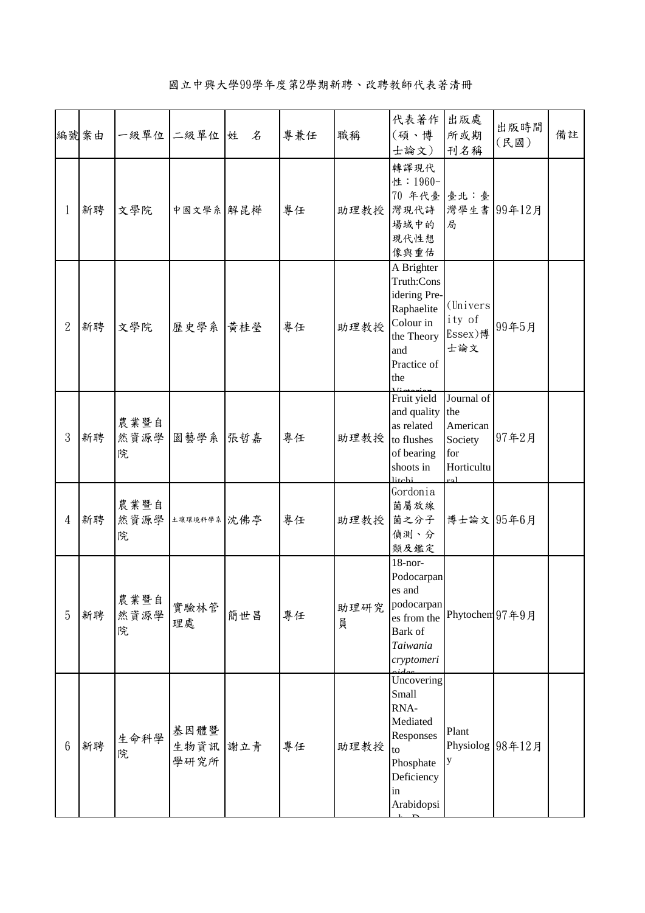|                 | 編號案由 |                   | 一級單位 二級單位 姓              | 名   | 專兼任 | 職稱              | 代表著作<br>(碩、博<br>士論文)                                                                                           | 出版處<br>所或期<br>刊名稱                                                    | 出版時間<br>(民國)     | 備註 |
|-----------------|------|-------------------|--------------------------|-----|-----|-----------------|----------------------------------------------------------------------------------------------------------------|----------------------------------------------------------------------|------------------|----|
| $\mathbf{1}$    | 新聘   | 文學院               | 中國文學系 解昆樺                |     | 專任  | 助理教授            | 轉譯現代<br>性: 1960-<br>70年代臺臺北:臺<br>灣現代詩<br>場域中的<br>現代性想<br>像與重估                                                  | 局                                                                    | 灣學生書 99年12月      |    |
| $\mathbf{2}$    | 新聘   | 文學院               | 歷史學系                     | 黃桂瑩 | 專任  | 助理教授            | A Brighter<br>Truth:Cons<br>idering Pre-<br>Raphaelite<br>Colour in<br>the Theory<br>and<br>Practice of<br>the | (Univers)<br>ity of<br>Essex)博<br>士論文                                | 99年5月            |    |
| 3               | 新聘   | 農業暨自<br>然資源學<br>院 | 園藝學系                     | 張哲嘉 | 專任  | 助理教授 to flushes | Fruit yield<br>and quality<br>as related<br>of bearing<br>shoots in<br>litchi                                  | Journal of<br>the<br>American<br>Society<br>for<br>Horticultu<br>ra1 | 97年2月            |    |
| $\overline{4}$  | 新聘   | 農業暨自<br>然資源學<br>院 | 土壤環境科學系 沈佛亭              |     | 專任  | 助理教授            | Gordonia<br>菌屬放線<br>菌之分子<br>偵測、分<br>類及鑑定                                                                       | 博士論文 95年6月                                                           |                  |    |
| 5               | 新聘   | 農業暨自<br>然資源學<br>院 | 實驗林管<br>理處               | 簡世昌 | 專任  | 助理研究<br>員       | $18$ -nor-<br>Podocarpan<br>es and<br>podocarpan<br>es from the<br>Bark of<br>Taiwania<br>cryptomeri           | Phytochem 97年9月                                                      |                  |    |
| $6\phantom{.}6$ | 新聘   | 生命科學<br>院         | 基因體暨<br>生物資訊 謝立青<br>學研究所 |     | 專任  | 助理教授            | Uncovering<br>Small<br>RNA-<br>Mediated<br>Responses<br>to<br>Phosphate<br>Deficiency<br>in<br>Arabidopsi      | Plant<br>y                                                           | Physiolog 98年12月 |    |

國立中興大學99學年度第2學期新聘、改聘教師代表著清冊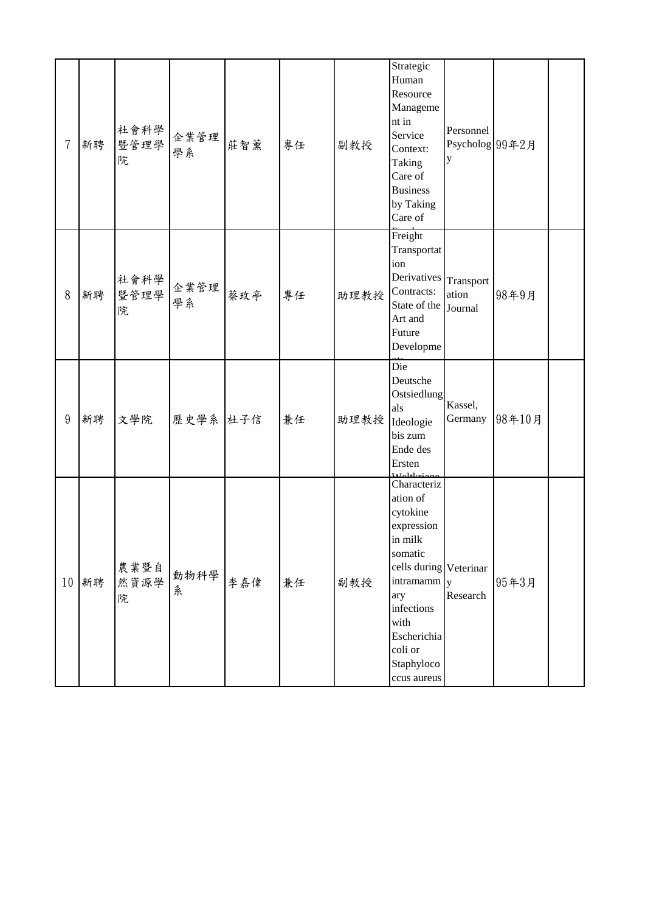| 7  | 新聘 | 社會科學<br>暨管理學<br>院 | 企業管理<br>學系 | 莊智薰 | 專任 | 副教授  | Strategic<br>Human<br>Resource<br>Manageme<br>nt in<br>Service<br>Context:<br>Taking<br>Care of<br><b>Business</b><br>by Taking<br>Care of                                                         | Personnel<br>Psycholog 99年2月  |        |  |
|----|----|-------------------|------------|-----|----|------|----------------------------------------------------------------------------------------------------------------------------------------------------------------------------------------------------|-------------------------------|--------|--|
| 8  | 新聘 | 社會科學<br>暨管理學<br>院 | 企業管理<br>學系 | 蔡玫亭 | 專任 | 助理教授 | Freight<br>Transportat<br>ion<br>Derivatives<br>Contracts:<br>State of the<br>Art and<br>Future<br>Developme                                                                                       | Transport<br>ation<br>Journal | 98年9月  |  |
| 9  | 新聘 | 文學院               | 歷史學系 杜子信   |     | 兼任 | 助理教授 | Die<br>Deutsche<br>Ostsiedlung<br>als<br>Ideologie<br>bis zum<br>Ende des<br>Ersten                                                                                                                | Kassel,<br>Germany            | 98年10月 |  |
| 10 | 新聘 | 農業暨自<br>然資源學<br>院 | 動物科學<br>糸  | 李嘉偉 | 兼任 | 副教授  | Characteriz<br>ation of<br>cytokine<br>expression<br>in milk<br>somatic<br>cells during Veterinar<br>intramamm<br>ary<br>infections<br>with<br>Escherichia<br>coli or<br>Staphyloco<br>ccus aureus | $\mathbf{v}$<br>Research      | 95年3月  |  |